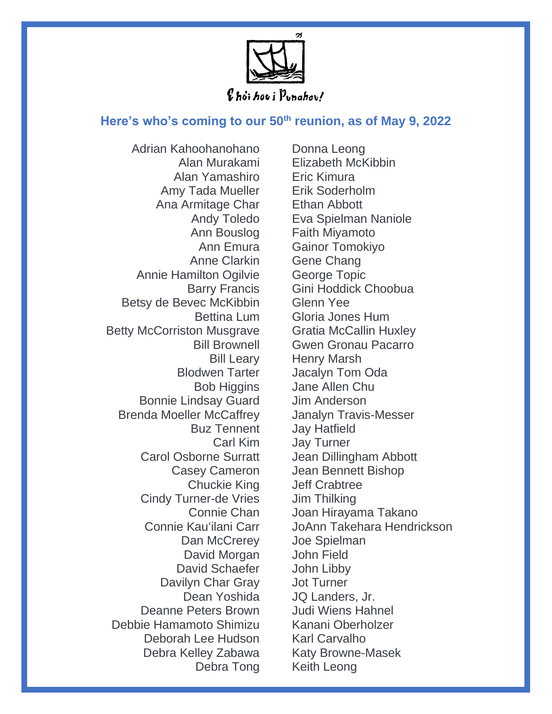

## **Here's who's coming to our 50th reunion, as of May 9, 2022**

Adrian Kahoohanohano Alan Murakami Alan Yamashiro Amy Tada Mueller Ana Armitage Char Andy Toledo Ann Bouslog Ann Emura Anne Clarkin Annie Hamilton Ogilvie Barry Francis Betsy de Bevec McKibbin Bettina Lum Betty McCorriston Musgrave Bill Brownell Bill Leary Blodwen Tarter Bob Higgins Bonnie Lindsay Guard Brenda Moeller McCaffrey Buz Tennent Carl Kim Carol Osborne Surratt Casey Cameron Chuckie King Cindy Turner-de Vries Connie Chan Connie Kau'ilani Carr Dan McCrerey David Morgan David Schaefer Davilyn Char Gray Dean Yoshida Deanne Peters Brown Debbie Hamamoto Shimizu Deborah Lee Hudson Debra Kelley Zabawa Debra Tong

Donna Leong Elizabeth McKibbin Eric Kimura Erik Soderholm Ethan Abbott Eva Spielman Naniole Faith Miyamoto Gainor Tomokiyo Gene Chang George Topic Gini Hoddick Choobua Glenn Yee Gloria Jones Hum Gratia McCallin Huxley Gwen Gronau Pacarro Henry Marsh Jacalyn Tom Oda Jane Allen Chu Jim Anderson Janalyn Travis-Messer Jay Hatfield Jay Turner Jean Dillingham Abbott Jean Bennett Bishop Jeff Crabtree Jim Thilking Joan Hirayama Takano JoAnn Takehara Hendrickson Joe Spielman John Field John Libby Jot Turner JQ Landers, Jr. Judi Wiens Hahnel Kanani Oberholzer Karl Carvalho Katy Browne-Masek Keith Leong